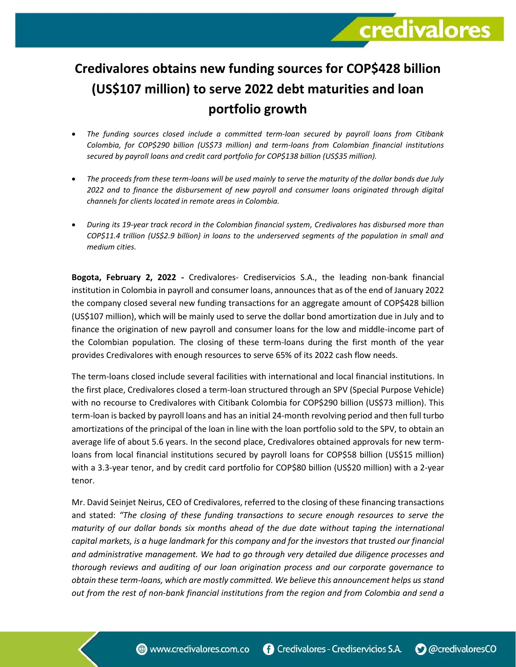## **Credivalores obtains new funding sources for COP\$428 billion (US\$107 million) to serve 2022 debt maturities and loan portfolio growth**

credivalores

- *The funding sources closed include a committed term-loan secured by payroll loans from Citibank Colombia, for COP\$290 billion (US\$73 million) and term-loans from Colombian financial institutions secured by payroll loans and credit card portfolio for COP\$138 billion (US\$35 million).*
- *The proceeds from these term-loans will be used mainly to serve the maturity of the dollar bonds due July 2022 and to finance the disbursement of new payroll and consumer loans originated through digital channels for clients located in remote areas in Colombia.*
- *During its 19-year track record in the Colombian financial system, Credivalores has disbursed more than COP\$11.4 trillion (US\$2.9 billion) in loans to the underserved segments of the population in small and medium cities.*

**Bogota, February 2, 2022 -** Credivalores- Crediservicios S.A., the leading non-bank financial institution in Colombia in payroll and consumer loans, announces that as of the end of January 2022 the company closed several new funding transactions for an aggregate amount of COP\$428 billion (US\$107 million), which will be mainly used to serve the dollar bond amortization due in July and to finance the origination of new payroll and consumer loans for the low and middle-income part of the Colombian population. The closing of these term-loans during the first month of the year provides Credivalores with enough resources to serve 65% of its 2022 cash flow needs.

The term-loans closed include several facilities with international and local financial institutions. In the first place, Credivalores closed a term-loan structured through an SPV (Special Purpose Vehicle) with no recourse to Credivalores with Citibank Colombia for COP\$290 billion (US\$73 million). This term-loan is backed by payroll loans and has an initial 24-month revolving period and then full turbo amortizations of the principal of the loan in line with the loan portfolio sold to the SPV, to obtain an average life of about 5.6 years. In the second place, Credivalores obtained approvals for new termloans from local financial institutions secured by payroll loans for COP\$58 billion (US\$15 million) with a 3.3-year tenor, and by credit card portfolio for COP\$80 billion (US\$20 million) with a 2-year tenor.

Mr. David Seinjet Neirus, CEO of Credivalores, referred to the closing of these financing transactions and stated: *"The closing of these funding transactions to secure enough resources to serve the maturity of our dollar bonds six months ahead of the due date without taping the international capital markets, is a huge landmark for this company and for the investors that trusted our financial and administrative management. We had to go through very detailed due diligence processes and thorough reviews and auditing of our loan origination process and our corporate governance to obtain these term-loans, which are mostly committed. We believe this announcement helps us stand out from the rest of non-bank financial institutions from the region and from Colombia and send a*